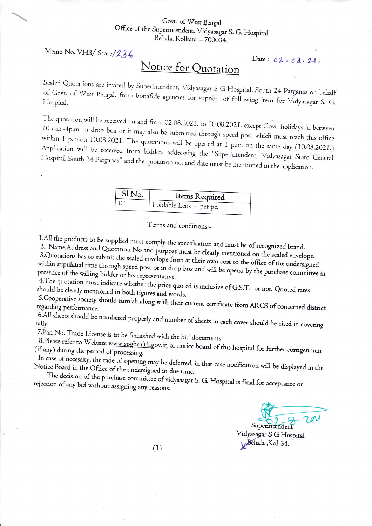## Govt. of West Bengal Office of the Superintendent, Vidyasagar S. G. Hospital Behala, Kolkata - 700034.

Memo No. VHB/Store/236

## Notice for Quotation

Sealed Quotations are invited by Superintendent, Vidyasagar S G Hospital, South 24 Parganas on behalf of Govt. of West Bengal, from bonafide agencies for supply of following item for Vidyasagar S. G. Hospital.

The quotation will be received on and from 02.08.2021. to 10.08.2021. except Govt. holidays in between 10 a.m.-4p.m. in drop box or it may also be submitted through speed post which must reach this office within I p.m.on I0.08.2021. The quotations will be opened at I p.m. on the same day (I0.08.2021.) Application will be received from bidders addressing the "Superintendent, Vidyasagar State General Hospital, South 24 Parganas" and the quotation no. and date must be mentioned in the application.

| Sl No. | Items Required          |
|--------|-------------------------|
|        | Foldable Lens - per pc. |

Terms and conditions:-

I.All the products to be supplied must comply the specification and must be of recognized brand.

2.. Name, Address and Quotation No and purpose must be clearly mentioned on the sealed envelope. 3. Quotations has to submit the sealed envelope from at their own cost to the office of the undersigned within stipulated time through speed post or in drop box and will be opend by the purchase committee in presence of the willing bidder or his representative.

4. The quotation must indicate whether the price quoted is inclusive of G.S.T. or not. Quoted rates should be clearly mentioned in both figures and words.

5. Cooperative society should furnish along with their current certificate from ARCS of concerned district regarding performance.

6.All sheets should be numbered properly and number of sheets in each cover should be cited in covering tally.

7.Pan No. Trade License is to be furnished with the bid documents.

8.Please refer to Website www.spghealth.gov.in or notice board of this hospital for further corrigendum (if any) during the period of processing.

In case of necessity, the tade of opening may be deferred, in that case notification will be displayed in the Notice Board in the Office of the undersigned in due time.

The decision of the purchase committee of vidyasagar S. G. Hospital is final for acceptance or rejection of any bid without assigning any reasons.

Superintendent

Date: 02, 08, 21,

Vidyasagar S G Hospital Behala ,Kol-34.

 $(I)$